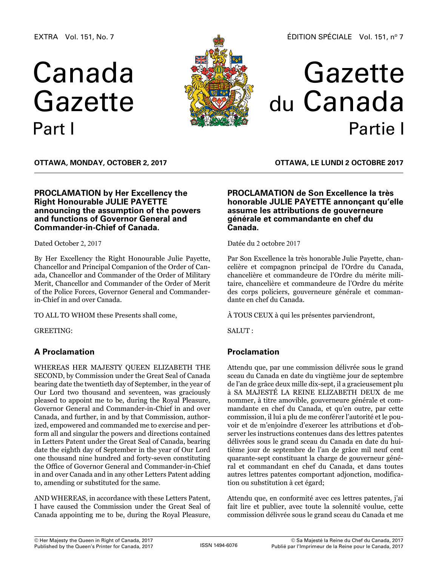EXTRA Vol. 151, No. 7

# Canada Gazette Part I



# Gazette du Canada Partie I

**OTTAWA, Monday, October 2, 2017**

## **PROCLAMATION by Her Excellency the Right Honourable JULIE PAYETTE announcing the assumption of the powers and functions of Governor General and Commander-in-Chief of Canada.**

Dated October 2, 2017

By Her Excellency the Right Honourable Julie Payette, Chancellor and Principal Companion of the Order of Canada, Chancellor and Commander of the Order of Military Merit, Chancellor and Commander of the Order of Merit of the Police Forces, Governor General and Commanderin-Chief in and over Canada.

TO ALL TO WHOM these Presents shall come,

GREETING:

## **A Proclamation**

WHEREAS HER MAJESTY QUEEN ELIZABETH THE SECOND, by Commission under the Great Seal of Canada bearing date the twentieth day of September, in the year of Our Lord two thousand and seventeen, was graciously pleased to appoint me to be, during the Royal Pleasure, Governor General and Commander-in-Chief in and over Canada, and further, in and by that Commission, authorized, empowered and commanded me to exercise and perform all and singular the powers and directions contained in Letters Patent under the Great Seal of Canada, bearing date the eighth day of September in the year of Our Lord one thousand nine hundred and forty-seven constituting the Office of Governor General and Commander-in-Chief in and over Canada and in any other Letters Patent adding to, amending or substituted for the same.

AND WHEREAS, in accordance with these Letters Patent, I have caused the Commission under the Great Seal of Canada appointing me to be, during the Royal Pleasure,

**OTTAWA, LE lundi 2 octobre 2017**

## **PROCLAMATION de Son Excellence la très honorable JULIE PAYETTE annonçant qu'elle assume les attributions de gouverneure générale et commandante en chef du Canada.**

Datée du 2 octobre 2017

Par Son Excellence la très honorable Julie Payette, chancelière et compagnon principal de l'Ordre du Canada, chancelière et commandeure de l'Ordre du mérite militaire, chancelière et commandeure de l'Ordre du mérite des corps policiers, gouverneure générale et commandante en chef du Canada.

À TOUS CEUX à qui les présentes parviendront,

SALUT :

## **Proclamation**

Attendu que, par une commission délivrée sous le grand sceau du Canada en date du vingtième jour de septembre de l'an de grâce deux mille dix-sept, il a gracieusement plu à SA MAJESTÉ LA REINE ELIZABETH DEUX de me nommer, à titre amovible, gouverneure générale et commandante en chef du Canada, et qu'en outre, par cette commission, il lui a plu de me conférer l'autorité et le pouvoir et de m'enjoindre d'exercer les attributions et d'observer les instructions contenues dans des lettres patentes délivrées sous le grand sceau du Canada en date du huitième jour de septembre de l'an de grâce mil neuf cent quarante-sept constituant la charge de gouverneur général et commandant en chef du Canada, et dans toutes autres lettres patentes comportant adjonction, modification ou substitution à cet égard;

Attendu que, en conformité avec ces lettres patentes, j'ai fait lire et publier, avec toute la solennité voulue, cette commission délivrée sous le grand sceau du Canada et me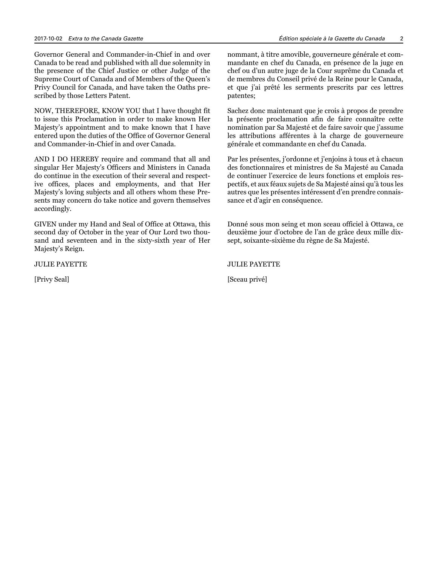Governor General and Commander-in-Chief in and over Canada to be read and published with all due solemnity in the presence of the Chief Justice or other Judge of the Supreme Court of Canada and of Members of the Queen's Privy Council for Canada, and have taken the Oaths prescribed by those Letters Patent.

NOW, THEREFORE, KNOW YOU that I have thought fit to issue this Proclamation in order to make known Her Majesty's appointment and to make known that I have entered upon the duties of the Office of Governor General and Commander-in-Chief in and over Canada.

AND I DO HEREBY require and command that all and singular Her Majesty's Officers and Ministers in Canada do continue in the execution of their several and respective offices, places and employments, and that Her Majesty's loving subjects and all others whom these Presents may concern do take notice and govern themselves accordingly.

GIVEN under my Hand and Seal of Office at Ottawa, this second day of October in the year of Our Lord two thousand and seventeen and in the sixty-sixth year of Her Majesty's Reign.

JULIE PAYETTE

[Privy Seal]

nommant, à titre amovible, gouverneure générale et commandante en chef du Canada, en présence de la juge en chef ou d'un autre juge de la Cour suprême du Canada et de membres du Conseil privé de la Reine pour le Canada, et que j'ai prêté les serments prescrits par ces lettres patentes;

Sachez donc maintenant que je crois à propos de prendre la présente proclamation afin de faire connaître cette nomination par Sa Majesté et de faire savoir que j'assume les attributions afférentes à la charge de gouverneure générale et commandante en chef du Canada.

Par les présentes, j'ordonne et j'enjoins à tous et à chacun des fonctionnaires et ministres de Sa Majesté au Canada de continuer l'exercice de leurs fonctions et emplois respectifs, et aux féaux sujets de Sa Majesté ainsi qu'à tous les autres que les présentes intéressent d'en prendre connaissance et d'agir en conséquence.

Donné sous mon seing et mon sceau officiel à Ottawa, ce deuxième jour d'octobre de l'an de grâce deux mille dixsept, soixante-sixième du règne de Sa Majesté.

JULIE PAYETTE

[Sceau privé]